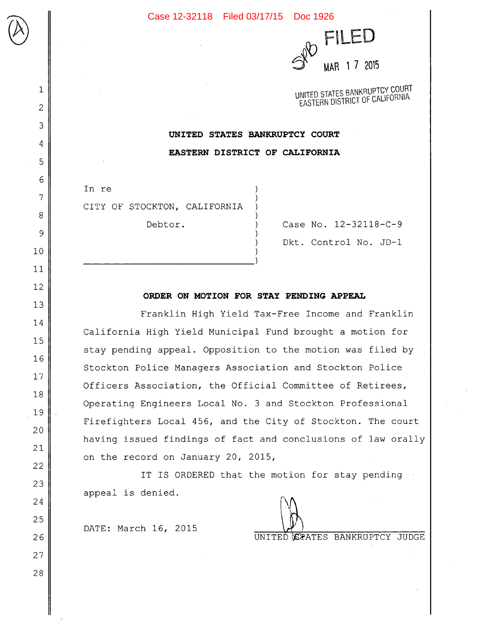

UNITED STATES BANKRUPTCY COURT EASTERN DISTRICT OF CALIFORNIA

**UNITED STATES BANKRUPTCY COURT EASTERN DISTRICT OF CALIFORNIA** 

In re CITY OF STOCKTON, CALIFORNIA

 $\bigcup$ 

1

2

3

4

5

6

7

8

9

10

11

12

13

14

15

16

17

18

19

20

21

22

23

24

25

26

27

28

Debtor. (ase No. 12-32118-C-9 Dkt. Control No. JD-1

## **ORDER ON MOTION FOR STAY PENDING APPEAL**

Franklin High Yield Tax-Free Income and Franklin California High Yield Municipal Fund brought a motion for stay pending appeal. Opposition to the motion was filed by Stockton Police Managers Association and Stockton Police Officers Association, the Official Committee of Retirees, Operating Engineers Local No. 3 and Stockton Professional Firefighters Local 456, and the City of Stockton. The court having issued findings of fact and conclusions of law orally on the record on January 20, 2015,

IT IS ORDERED that the motion for stay pending appeal is denied.

DATE: March 16, 2015

UNITED **STATES BANKRUPTCY JUDGE**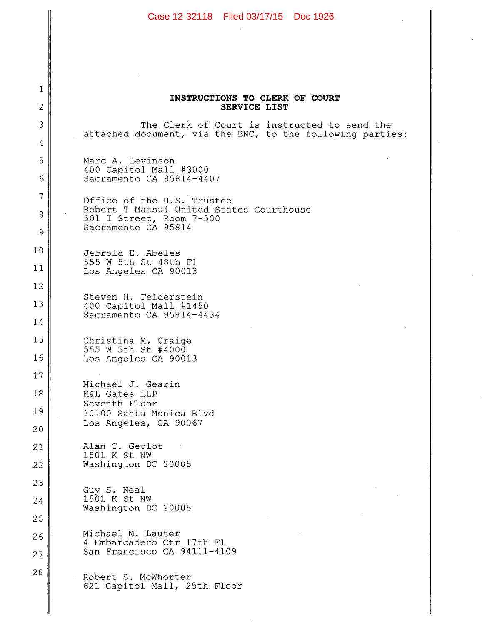|                                 | Case 12-32118 Filed 03/17/15 Doc 1926                                                                     |
|---------------------------------|-----------------------------------------------------------------------------------------------------------|
|                                 |                                                                                                           |
|                                 |                                                                                                           |
|                                 |                                                                                                           |
| 1                               | INSTRUCTIONS TO CLERK OF COURT                                                                            |
| $\overline{2}$                  | <b>SERVICE LIST</b>                                                                                       |
| 3                               | The Clerk of Court is instructed to send the<br>attached document, via the BNC, to the following parties: |
| 4                               |                                                                                                           |
| 5                               | Marc A. Levinson<br>400 Capitol Mall #3000                                                                |
| 6                               | Sacramento CA 95814-4407                                                                                  |
| 7<br>Office of the U.S. Trustee | Robert T Matsui United States Courthouse                                                                  |
| 8                               | 501 I Street, Room 7-500<br>Sacramento CA 95814                                                           |
| 9                               |                                                                                                           |
| 10                              | Jerrold E. Abeles<br>555 W 5th St 48th Fl                                                                 |
| 11                              | Los Angeles CA 90013                                                                                      |
| 12                              | Steven H. Felderstein                                                                                     |
| 13<br>14                        | 400 Capitol Mall #1450<br>Sacramento CA 95814-4434                                                        |
| 15                              |                                                                                                           |
| 16                              | Christina M. Craige<br>555 W 5th St #4000                                                                 |
| 17                              | Los Angeles CA 90013                                                                                      |
| 18                              | Michael J. Gearin<br>K&L Gates LLP                                                                        |
| 19                              | Seventh Floor<br>10100 Santa Monica Blvd                                                                  |
| 20                              | Los Angeles, CA 90067                                                                                     |
| 21                              | Alan C. Geolot                                                                                            |
| 22                              | 1501 K St NW<br>Washington DC 20005                                                                       |
| 23                              |                                                                                                           |
| 24                              | Guy S. Neal<br>1501 K St NW                                                                               |
| 25                              | Washington DC 20005                                                                                       |
| 26                              | Michael M. Lauter                                                                                         |
| 27                              | 4 Embarcadero Ctr 17th Fl<br>San Francisco CA 94111-4109                                                  |
| 28                              | Robert S. McWhorter<br>621 Capitol Mall, 25th Floor                                                       |
|                                 |                                                                                                           |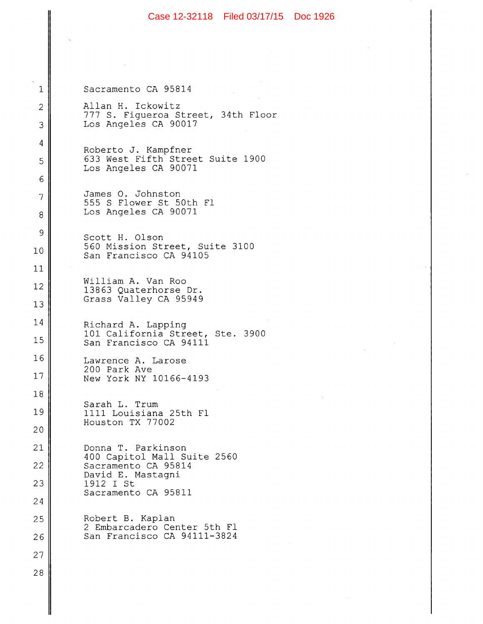|                                                                  | Case 12-32118 Filed 03/17/15 Doc 1926                                      |
|------------------------------------------------------------------|----------------------------------------------------------------------------|
|                                                                  |                                                                            |
|                                                                  |                                                                            |
| $\mathbf 1$                                                      | Sacramento CA 95814                                                        |
| $\mathbf{2}$                                                     | Allan H. Ickowitz                                                          |
| 3                                                                | 777 S. Figueroa Street, 34th Floor<br>Los Angeles CA 90017                 |
| 4                                                                | Roberto J. Kampfner                                                        |
| 5                                                                | 633 West Fifth Street Suite 1900<br>Los Angeles CA 90071                   |
| 6                                                                |                                                                            |
| 7<br>8                                                           | James O. Johnston<br>555 S Flower St 50th Fl<br>Los Angeles CA 90071       |
| $\mathcal{Q}$                                                    |                                                                            |
| 10                                                               | Scott H. Olson<br>560 Mission Street, Suite 3100<br>San Francisco CA 94105 |
| 11                                                               |                                                                            |
| 12                                                               | William A. Van Roo<br>13863 Quaterhorse Dr.                                |
| 13                                                               | Grass Valley CA 95949                                                      |
| 14                                                               | Richard A. Lapping                                                         |
| 101 California Street, Ste. 3900<br>15<br>San Francisco CA 94111 |                                                                            |
| 16                                                               | Lawrence A. Larose<br>200 Park Ave                                         |
| 17                                                               | New York NY 10166-4193                                                     |
| 18                                                               | Sarah L. Trum                                                              |
| 19                                                               | 1111 Louisiana 25th Fl<br>Houston TX 77002                                 |
| 20                                                               |                                                                            |
| 21                                                               | Donna T. Parkinson<br>400 Capitol Mall Suite 2560                          |
| 22                                                               | Sacramento CA 95814<br>David E. Mastagni                                   |
| 23                                                               | 1912 I St<br>Sacramento CA 95811                                           |
| 24                                                               |                                                                            |
| 25                                                               | Robert B. Kaplan<br>2 Embarcadero Center 5th Fl                            |
| 26                                                               | San Francisco CA 94111-3824                                                |
| 27                                                               |                                                                            |
| 28                                                               |                                                                            |